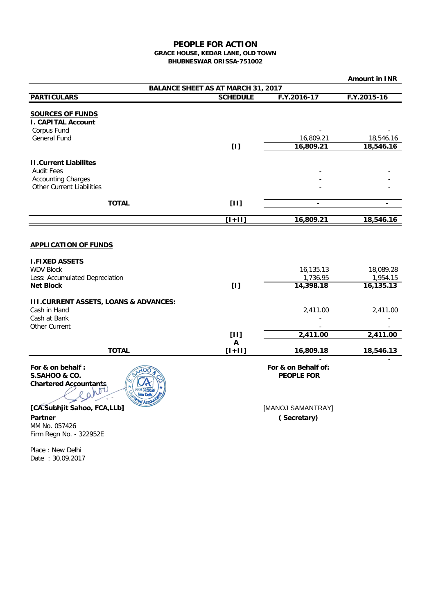## **PEOPLE FOR ACTION GRACE HOUSE, KEDAR LANE, OLD TOWN**

**BHUBNESWAR ORISSA-751002**

|                                                                                                                                |                           |                                          | <b>Amount in INR</b>                |  |
|--------------------------------------------------------------------------------------------------------------------------------|---------------------------|------------------------------------------|-------------------------------------|--|
| <b>BALANCE SHEET AS AT MARCH 31, 2017</b>                                                                                      |                           |                                          |                                     |  |
| <b>PARTICULARS</b>                                                                                                             | <b>SCHEDULE</b>           | F.Y.2016-17                              | F.Y.2015-16                         |  |
| <b>SOURCES OF FUNDS</b><br><b>I. CAPITAL Account</b><br>Corpus Fund<br>General Fund                                            | $[1]$                     | 16,809.21<br>16,809.21                   | 18,546.16<br>18,546.16              |  |
| <b>II.Current Liabilites</b><br><b>Audit Fees</b><br><b>Accounting Charges</b><br><b>Other Current Liabilities</b>             |                           |                                          |                                     |  |
| <b>TOTAL</b>                                                                                                                   | $[11]$                    |                                          |                                     |  |
|                                                                                                                                | $[1+11]$                  | 16,809.21                                | 18,546.16                           |  |
|                                                                                                                                |                           |                                          |                                     |  |
| <b>APPLICATION OF FUNDS</b><br><b>I.FIXED ASSETS</b><br><b>WDV Block</b><br>Less: Accumulated Depreciation<br><b>Net Block</b> | [1]                       | 16,135.13<br>1,736.95<br>14,398.18       | 18,089.28<br>1,954.15<br>16, 135.13 |  |
| <b>III.CURRENT ASSETS, LOANS &amp; ADVANCES:</b><br>Cash in Hand<br>Cash at Bank<br>Other Current                              | $[11]$                    | 2,411.00<br>2,411.00                     | 2,411.00<br>2,411.00                |  |
|                                                                                                                                | $\boldsymbol{\mathsf{A}}$ |                                          |                                     |  |
| <b>TOTAL</b>                                                                                                                   | $[1+11]$                  | 16,809.18                                | 18,546.13                           |  |
| For & on behalf:<br>S.SAHOO & CO.<br><b>Chartered Accountants,</b>                                                             |                           | For & on Behalf of:<br><b>PEOPLE FOR</b> |                                     |  |
| [CA.Subhjit Sahoo, FCA,LLb]<br>Partner<br>MM No. 057426                                                                        |                           | [MANOJ SAMANTRAY]<br>(Secretary)         |                                     |  |

Place : New Delhi Date : 30.09.2017

Firm Regn No. - 322952E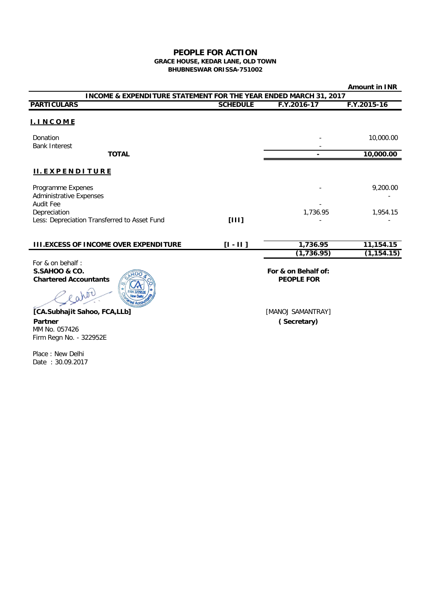## **GRACE HOUSE, KEDAR LANE, OLD TOWN BHUBNESWAR ORISSA-751002 PEOPLE FOR ACTION**

|                                                                                  |                 |                                          | <b>Amount in INR</b> |  |
|----------------------------------------------------------------------------------|-----------------|------------------------------------------|----------------------|--|
| <b>INCOME &amp; EXPENDITURE STATEMENT FOR THE YEAR ENDED MARCH 31, 2017</b>      |                 |                                          |                      |  |
| <b>PARTICULARS</b>                                                               | <b>SCHEDULE</b> | F.Y.2016-17                              | F.Y.2015-16          |  |
| <b>I. INCOME</b>                                                                 |                 |                                          |                      |  |
| Donation<br><b>Bank Interest</b>                                                 |                 |                                          | 10,000.00            |  |
| <b>TOTAL</b>                                                                     |                 |                                          | 10,000.00            |  |
| <b>II.EXPENDITURE</b>                                                            |                 |                                          |                      |  |
| Programme Expenes<br><b>Administrative Expenses</b>                              |                 |                                          | 9,200.00             |  |
| <b>Audit Fee</b><br>Depreciation<br>Less: Depreciation Transferred to Asset Fund | [111]           | 1,736.95                                 | 1,954.15             |  |
|                                                                                  |                 |                                          |                      |  |
| <b>III.EXCESS OF INCOME OVER EXPENDITURE</b>                                     | $[1 - 11]$      | 1,736.95                                 | 11,154.15            |  |
|                                                                                  |                 | (1, 736.95)                              | (1, 154.15)          |  |
| For & on behalf:<br>S.SAHOO & CO.<br><b>Chartered Accountants</b>                |                 | For & on Behalf of:<br><b>PEOPLE FOR</b> |                      |  |

**[CA.Subhajit Sahoo, FCA,LLb] Partner** MM No. 057426 Firm Regn No. - 322952E

WIT

 **PEOPLE FOR** 

[MANOJ SAMANTRAY] **( Secretary)**

Place : New Delhi Date : 30.09.2017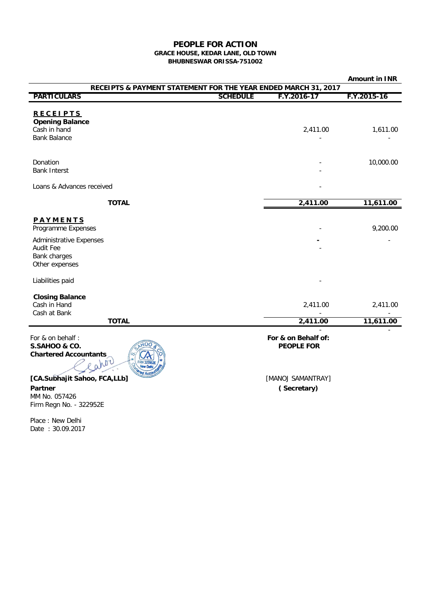## **GRACE HOUSE, KEDAR LANE, OLD TOWN BHUBNESWAR ORISSA-751002 PEOPLE FOR ACTION**

|                                                                                                                 |                 |                                          | <b>Amount in INR</b> |  |
|-----------------------------------------------------------------------------------------------------------------|-----------------|------------------------------------------|----------------------|--|
| RECEIPTS & PAYMENT STATEMENT FOR THE YEAR ENDED MARCH 31, 2017                                                  |                 |                                          |                      |  |
| <b>PARTICULARS</b>                                                                                              | <b>SCHEDULE</b> | F.Y.2016-17                              | F.Y.2015-16          |  |
| <b>RECEIPTS</b><br><b>Opening Balance</b><br>Cash in hand<br><b>Bank Balance</b>                                |                 | 2,411.00                                 | 1,611.00             |  |
| Donation<br><b>Bank Interst</b>                                                                                 |                 |                                          | 10,000.00            |  |
| Loans & Advances received                                                                                       |                 |                                          |                      |  |
| <b>TOTAL</b>                                                                                                    |                 | 2,411.00                                 | 11,611.00            |  |
| PAYMENTS<br>Programme Expenses<br><b>Administrative Expenses</b><br>Audit Fee<br>Bank charges<br>Other expenses |                 |                                          | 9,200.00             |  |
| Liabilities paid                                                                                                |                 |                                          |                      |  |
| <b>Closing Balance</b><br>Cash in Hand<br>Cash at Bank                                                          |                 | 2,411.00                                 | 2,411.00             |  |
| <b>TOTAL</b>                                                                                                    |                 | 2,411.00                                 | 11,611.00            |  |
| For & on behalf:<br><b>S.SAHOO &amp; CO.</b><br><b>Chartered Accountants</b><br>WDU                             |                 | For & on Behalf of:<br><b>PEOPLE FOR</b> |                      |  |
| [CA.Subhajit Sahoo, FCA,LLb]                                                                                    |                 | [MANOJ SAMANTRAY]                        |                      |  |

**Partner** MM No. 057426 Firm Regn No. - 322952E

Place : New Delhi Date : 30.09.2017 [MANOJ SAMANTRAY] **( Secretary)**